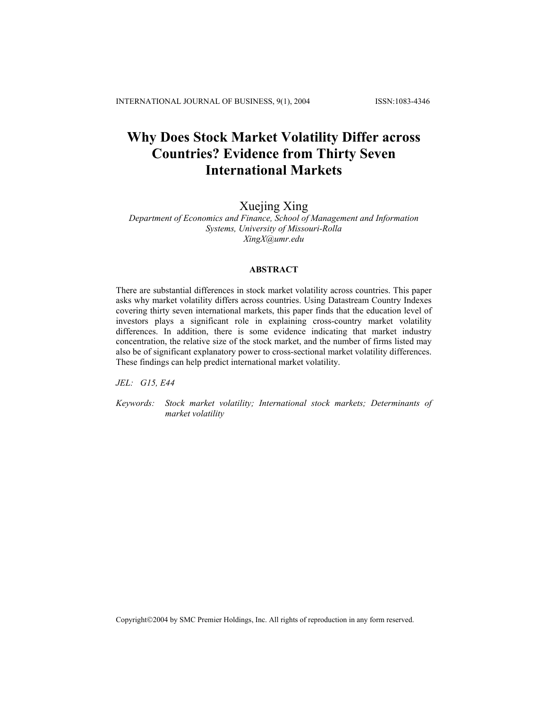# **Why Does Stock Market Volatility Differ across Countries? Evidence from Thirty Seven International Markets**

# Xuejing Xing

*Department of Economics and Finance, School of Management and Information Systems, University of Missouri-Rolla XingX@umr.edu* 

# **ABSTRACT**

There are substantial differences in stock market volatility across countries. This paper asks why market volatility differs across countries. Using Datastream Country Indexes covering thirty seven international markets, this paper finds that the education level of investors plays a significant role in explaining cross-country market volatility differences. In addition, there is some evidence indicating that market industry concentration, the relative size of the stock market, and the number of firms listed may also be of significant explanatory power to cross-sectional market volatility differences. These findings can help predict international market volatility.

*JEL: G15, E44* 

*Keywords: Stock market volatility; International stock markets; Determinants of market volatility*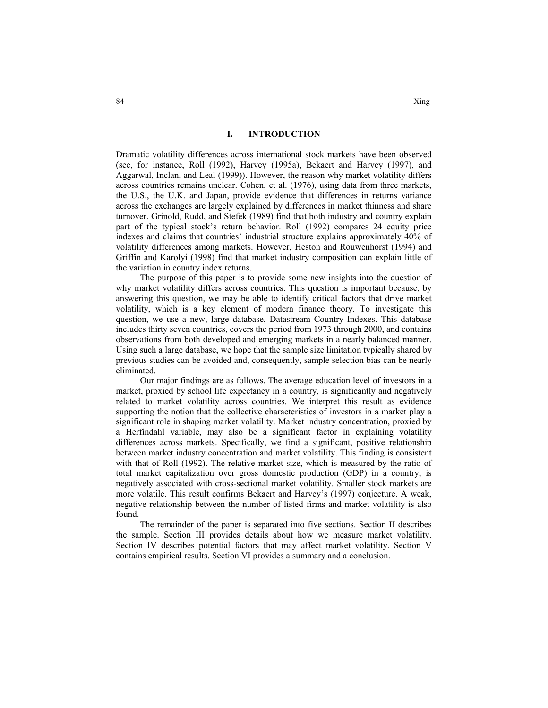### **I. INTRODUCTION**

Dramatic volatility differences across international stock markets have been observed (see, for instance, Roll (1992), Harvey (1995a), Bekaert and Harvey (1997), and Aggarwal, Inclan, and Leal (1999)). However, the reason why market volatility differs across countries remains unclear. Cohen, et al. (1976), using data from three markets, the U.S., the U.K. and Japan, provide evidence that differences in returns variance across the exchanges are largely explained by differences in market thinness and share turnover. Grinold, Rudd, and Stefek (1989) find that both industry and country explain part of the typical stock's return behavior. Roll (1992) compares 24 equity price indexes and claims that countries' industrial structure explains approximately 40% of volatility differences among markets. However, Heston and Rouwenhorst (1994) and Griffin and Karolyi (1998) find that market industry composition can explain little of the variation in country index returns.

The purpose of this paper is to provide some new insights into the question of why market volatility differs across countries. This question is important because, by answering this question, we may be able to identify critical factors that drive market volatility, which is a key element of modern finance theory. To investigate this question, we use a new, large database, Datastream Country Indexes. This database includes thirty seven countries, covers the period from 1973 through 2000, and contains observations from both developed and emerging markets in a nearly balanced manner. Using such a large database, we hope that the sample size limitation typically shared by previous studies can be avoided and, consequently, sample selection bias can be nearly eliminated.

Our major findings are as follows. The average education level of investors in a market, proxied by school life expectancy in a country, is significantly and negatively related to market volatility across countries. We interpret this result as evidence supporting the notion that the collective characteristics of investors in a market play a significant role in shaping market volatility. Market industry concentration, proxied by a Herfindahl variable, may also be a significant factor in explaining volatility differences across markets. Specifically, we find a significant, positive relationship between market industry concentration and market volatility. This finding is consistent with that of Roll (1992). The relative market size, which is measured by the ratio of total market capitalization over gross domestic production (GDP) in a country, is negatively associated with cross-sectional market volatility. Smaller stock markets are more volatile. This result confirms Bekaert and Harvey's (1997) conjecture. A weak, negative relationship between the number of listed firms and market volatility is also found.

The remainder of the paper is separated into five sections. Section II describes the sample. Section III provides details about how we measure market volatility. Section IV describes potential factors that may affect market volatility. Section V contains empirical results. Section VI provides a summary and a conclusion.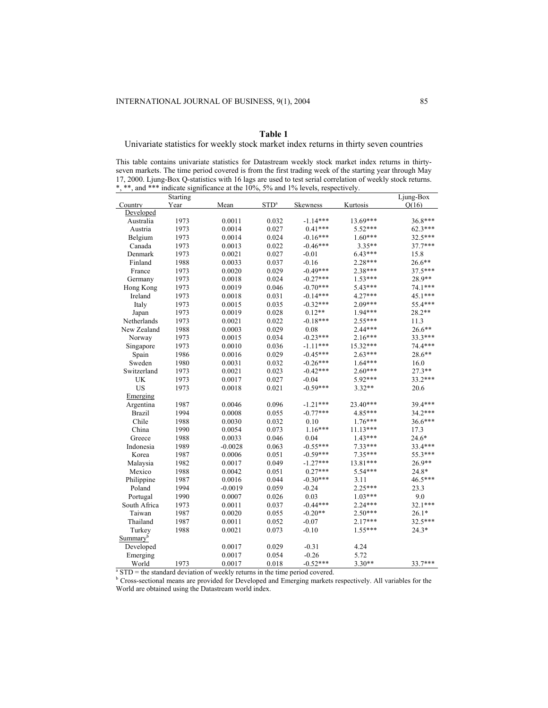# **Table 1**

Univariate statistics for weekly stock market index returns in thirty seven countries

This table contains univariate statistics for Datastream weekly stock market index returns in thirtyseven markets. The time period covered is from the first trading week of the starting year through May 17, 2000. Ljung-Box Q-statistics with 16 lags are used to test serial correlation of weekly stock returns. \*, \*\*, and \*\*\* indicate significance at the 10%, 5% and 1% levels, respectively.

|                      | Starting |                                                                                                 |                  |                 |            | Ljung-Box |
|----------------------|----------|-------------------------------------------------------------------------------------------------|------------------|-----------------|------------|-----------|
| Country              | Year     | Mean                                                                                            | STD <sup>a</sup> | <b>Skewness</b> | Kurtosis   | O(16)     |
| Developed            |          |                                                                                                 |                  |                 |            |           |
| Australia            | 1973     | 0.0011                                                                                          | 0.032            | $-1.14***$      | 13.69***   | 36.8***   |
| Austria              | 1973     | 0.0014                                                                                          | 0.027            | $0.41***$       | $5.52***$  | $62.3***$ |
| Belgium              | 1973     | 0.0014                                                                                          | 0.024            | $-0.16***$      | $1.60***$  | 32.5***   |
| Canada               | 1973     | 0.0013                                                                                          | 0.022            | $-0.46***$      | 3.35**     | $37.7***$ |
| Denmark              | 1973     | 0.0021                                                                                          | 0.027            | $-0.01$         | $6.43***$  | 15.8      |
| Finland              | 1988     | 0.0033                                                                                          | 0.037            | $-0.16$         | 2.28***    | 26.6**    |
| France               | 1973     | 0.0020                                                                                          | 0.029            | $-0.49***$      | 2.38***    | 37.5***   |
| Germany              | 1973     | 0.0018                                                                                          | 0.024            | $-0.27***$      | 1.53***    | 28.9**    |
| Hong Kong            | 1973     | 0.0019                                                                                          | 0.046            | $-0.70***$      | 5.43***    | 74.1***   |
| Ireland              | 1973     | 0.0018                                                                                          | 0.031            | $-0.14***$      | 4.27***    | 45.1***   |
| Italy                | 1973     | 0.0015                                                                                          | 0.035            | $-0.32***$      | 2.09***    | 55.4***   |
| Japan                | 1973     | 0.0019                                                                                          | 0.028            | $0.12**$        | 1.94***    | 28.2**    |
| Netherlands          | 1973     | 0.0021                                                                                          | 0.022            | $-0.18***$      | 2.55***    | 11.3      |
| New Zealand          | 1988     | 0.0003                                                                                          | 0.029            | 0.08            | 2.44***    | 26.6**    |
| Norway               | 1973     | 0.0015                                                                                          | 0.034            | $-0.23***$      | $2.16***$  | 33.3***   |
| Singapore            | 1973     | 0.0010                                                                                          | 0.036            | $-1.11***$      | $15.32***$ | 74.4***   |
| Spain                | 1986     | 0.0016                                                                                          | 0.029            | $-0.45***$      | $2.63***$  | $28.6**$  |
| Sweden               | 1980     | 0.0031                                                                                          | 0.032            | $-0.26***$      | $1.64***$  | 16.0      |
| Switzerland          | 1973     | 0.0021                                                                                          | 0.023            | $-0.42***$      | 2.60***    | 27.3**    |
| <b>UK</b>            | 1973     | 0.0017                                                                                          | 0.027            | $-0.04$         | 5.92***    | 33.2***   |
| <b>US</b>            | 1973     | 0.0018                                                                                          | 0.021            | $-0.59***$      | $3.32**$   | 20.6      |
| Emerging             |          |                                                                                                 |                  |                 |            |           |
| Argentina            | 1987     | 0.0046                                                                                          | 0.096            | $-1.21***$      | 23.40***   | 39.4***   |
| <b>Brazil</b>        | 1994     | 0.0008                                                                                          | 0.055            | $-0.77***$      | 4.85***    | 34.2***   |
| Chile                | 1988     | 0.0030                                                                                          | 0.032            | 0.10            | $1.76***$  | 36.6***   |
| China                | 1990     | 0.0054                                                                                          | 0.073            | $1.16***$       | $11.13***$ | 17.3      |
| Greece               | 1988     | 0.0033                                                                                          | 0.046            | 0.04            | $1.43***$  | $24.6*$   |
| Indonesia            | 1989     | $-0.0028$                                                                                       | 0.063            | $-0.55***$      | $7.33***$  | 33.4***   |
| Korea                | 1987     | 0.0006                                                                                          | 0.051            | $-0.59***$      | 7.35***    | 55.3***   |
|                      | 1982     | 0.0017                                                                                          | 0.049            | $-1.27***$      | 13.81***   | 26.9**    |
| Malaysia             | 1988     | 0.0042                                                                                          | 0.051            | $0.27***$       | 5.54***    | 24.8*     |
| Mexico               | 1987     | 0.0016                                                                                          | 0.044            | $-0.30***$      | 3.11       | 46.5***   |
| Philippine           |          |                                                                                                 |                  |                 |            |           |
| Poland               | 1994     | $-0.0019$                                                                                       | 0.059            | $-0.24$         | 2.25***    | 23.3      |
| Portugal             | 1990     | 0.0007                                                                                          | 0.026            | 0.03            | $1.03***$  | 9.0       |
| South Africa         | 1973     | 0.0011                                                                                          | 0.037            | $-0.44***$      | $2.24***$  | 32.1***   |
| Taiwan               | 1987     | 0.0020                                                                                          | 0.055            | $-0.20**$       | $2.50***$  | $26.1*$   |
| Thailand             | 1987     | 0.0011                                                                                          | 0.052            | $-0.07$         | $2.17***$  | 32.5***   |
| Turkey               | 1988     | 0.0021                                                                                          | 0.073            | $-0.10$         | $1.55***$  | $24.3*$   |
| Summary <sup>b</sup> |          |                                                                                                 |                  |                 |            |           |
| Developed            |          | 0.0017                                                                                          | 0.029            | $-0.31$         | 4.24       |           |
| Emerging             |          | 0.0017                                                                                          | 0.054            | $-0.26$         | 5.72       |           |
| World                | 1973     | 0.0017<br>$^{\circ}$ CTD = the standard deviation of weekly returns in the time nerical several | 0.018            | $-0.52***$      | $3.30**$   | 33.7***   |

 $\text{S}^{\text{B}}$  STD = the standard deviation of weekly returns in the time period covered.

<sup>b</sup> Cross-sectional means are provided for Developed and Emerging markets respectively. All variables for the World are obtained using the Datastream world index.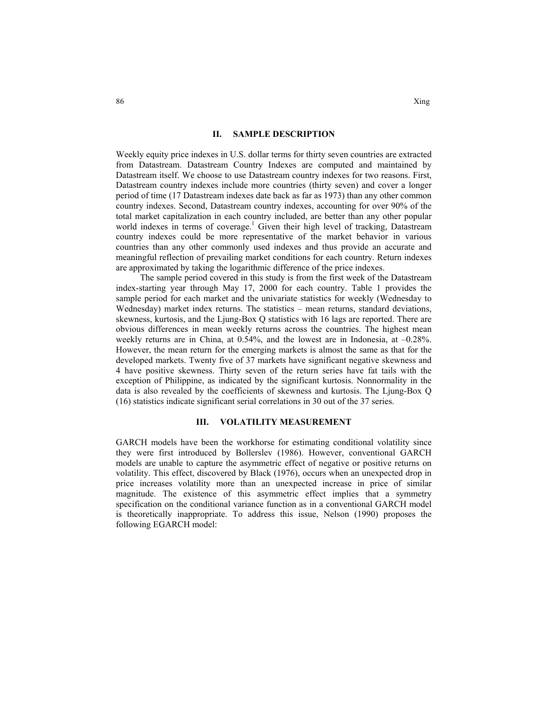#### **II. SAMPLE DESCRIPTION**

Weekly equity price indexes in U.S. dollar terms for thirty seven countries are extracted from Datastream. Datastream Country Indexes are computed and maintained by Datastream itself. We choose to use Datastream country indexes for two reasons. First, Datastream country indexes include more countries (thirty seven) and cover a longer period of time (17 Datastream indexes date back as far as 1973) than any other common country indexes. Second, Datastream country indexes, accounting for over 90% of the total market capitalization in each country included, are better than any other popular world indexes in terms of coverage.<sup>1</sup> Given their high level of tracking, Datastream country indexes could be more representative of the market behavior in various countries than any other commonly used indexes and thus provide an accurate and meaningful reflection of prevailing market conditions for each country. Return indexes are approximated by taking the logarithmic difference of the price indexes.

The sample period covered in this study is from the first week of the Datastream index-starting year through May 17, 2000 for each country. Table 1 provides the sample period for each market and the univariate statistics for weekly (Wednesday to Wednesday) market index returns. The statistics – mean returns, standard deviations, skewness, kurtosis, and the Ljung-Box Q statistics with 16 lags are reported. There are obvious differences in mean weekly returns across the countries. The highest mean weekly returns are in China, at 0.54%, and the lowest are in Indonesia, at –0.28%. However, the mean return for the emerging markets is almost the same as that for the developed markets. Twenty five of 37 markets have significant negative skewness and 4 have positive skewness. Thirty seven of the return series have fat tails with the exception of Philippine, as indicated by the significant kurtosis. Nonnormality in the data is also revealed by the coefficients of skewness and kurtosis. The Ljung-Box Q (16) statistics indicate significant serial correlations in 30 out of the 37 series.

#### **III. VOLATILITY MEASUREMENT**

GARCH models have been the workhorse for estimating conditional volatility since they were first introduced by Bollerslev (1986). However, conventional GARCH models are unable to capture the asymmetric effect of negative or positive returns on volatility. This effect, discovered by Black (1976), occurs when an unexpected drop in price increases volatility more than an unexpected increase in price of similar magnitude. The existence of this asymmetric effect implies that a symmetry specification on the conditional variance function as in a conventional GARCH model is theoretically inappropriate. To address this issue, Nelson (1990) proposes the following EGARCH model: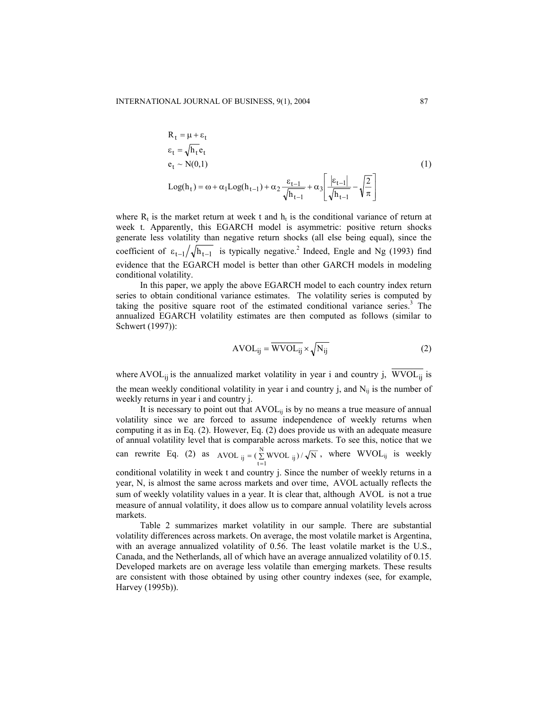$$
R_{t} = \mu + \varepsilon_{t}
$$
  
\n
$$
\varepsilon_{t} = \sqrt{h_{t}} e_{t}
$$
  
\n
$$
e_{t} \sim N(0,1)
$$
  
\n
$$
Log(h_{t}) = \omega + \alpha_{1} Log(h_{t-1}) + \alpha_{2} \frac{\varepsilon_{t-1}}{\sqrt{h_{t-1}}} + \alpha_{3} \left[ \frac{|\varepsilon_{t-1}|}{\sqrt{h_{t-1}}} - \sqrt{\frac{2}{\pi}} \right]
$$
\n(1)

where  $R_t$  is the market return at week t and  $h_t$  is the conditional variance of return at week t. Apparently, this EGARCH model is asymmetric: positive return shocks generate less volatility than negative return shocks (all else being equal), since the coefficient of  $\epsilon_{t-1}/\sqrt{h_{t-1}}$  is typically negative.<sup>2</sup> Indeed, Engle and Ng (1993) find evidence that the EGARCH model is better than other GARCH models in modeling conditional volatility.

In this paper, we apply the above EGARCH model to each country index return series to obtain conditional variance estimates. The volatility series is computed by taking the positive square root of the estimated conditional variance series.<sup>3</sup> The annualized EGARCH volatility estimates are then computed as follows (similar to Schwert (1997)):

$$
AVOL_{ij} = \overline{WVOL_{ij}} \times \sqrt{N_{ij}}
$$
 (2)

where AVOL<sub>ij</sub> is the annualized market volatility in year i and country j,  $\overline{WVOL_{ij}}$  is the mean weekly conditional volatility in year i and country j, and  $N_{ii}$  is the number of weekly returns in year i and country j.

It is necessary to point out that  $AVOL_{ii}$  is by no means a true measure of annual volatility since we are forced to assume independence of weekly returns when computing it as in Eq. (2). However, Eq. (2) does provide us with an adequate measure of annual volatility level that is comparable across markets. To see this, notice that we can rewrite Eq. (2) as  $AVOL_{ii} = (\sum_{i=1}^{N} WVOL_{ii}) / \sqrt{N}$ AVOL  $_{ij} = (\sum_{t=1}^{N} WVOL_{ij}) / \sqrt{N}$ , where  $WVOL_{ij}$  is weekly conditional volatility in week t and country j. Since the number of weekly returns in a

year, N, is almost the same across markets and over time, AVOL actually reflects the sum of weekly volatility values in a year. It is clear that, although AVOL is not a true measure of annual volatility, it does allow us to compare annual volatility levels across markets.

Table 2 summarizes market volatility in our sample. There are substantial volatility differences across markets. On average, the most volatile market is Argentina, with an average annualized volatility of 0.56. The least volatile market is the U.S., Canada, and the Netherlands, all of which have an average annualized volatility of 0.15. Developed markets are on average less volatile than emerging markets. These results are consistent with those obtained by using other country indexes (see, for example, Harvey (1995b)).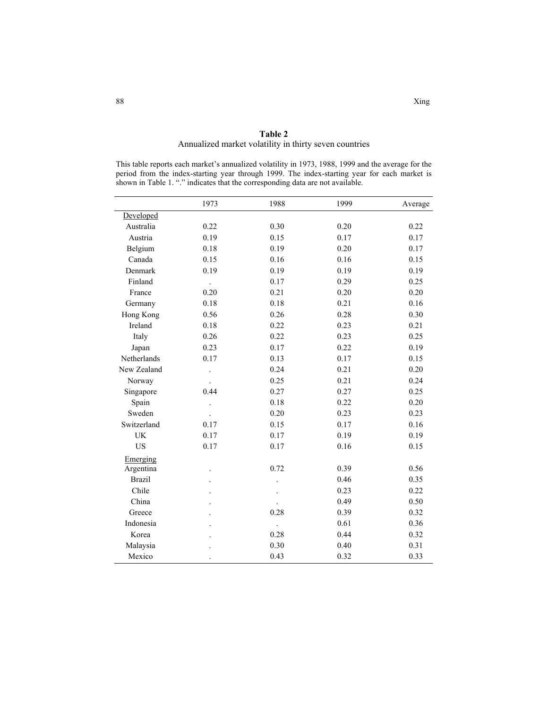|                                                                                                                                                                                                                                                                                      |      | Annualized market volatility in thirty seven countries |      |         |  |  |  |
|--------------------------------------------------------------------------------------------------------------------------------------------------------------------------------------------------------------------------------------------------------------------------------------|------|--------------------------------------------------------|------|---------|--|--|--|
| This table reports each market's annualized volatility in 1973, 1988, 1999 and the average for the<br>period from the index-starting year through 1999. The index-starting year for each market is<br>shown in Table 1. "." indicates that the corresponding data are not available. |      |                                                        |      |         |  |  |  |
|                                                                                                                                                                                                                                                                                      | 1973 | 1988                                                   | 1999 | Average |  |  |  |
| Developed                                                                                                                                                                                                                                                                            |      |                                                        |      |         |  |  |  |
| Australia                                                                                                                                                                                                                                                                            | 0.22 | 0.30                                                   | 0.20 | 0.22    |  |  |  |
| Austria                                                                                                                                                                                                                                                                              | 0.19 | 0.15                                                   | 0.17 | 0.17    |  |  |  |
| Belgium                                                                                                                                                                                                                                                                              | 0.18 | 0.19                                                   | 0.20 | 0.17    |  |  |  |
| Canada                                                                                                                                                                                                                                                                               | 0.15 | 0.16                                                   | 0.16 | 0.15    |  |  |  |
| Denmark                                                                                                                                                                                                                                                                              | 0.19 | 0.19                                                   | 0.19 | 0.19    |  |  |  |
| Finland                                                                                                                                                                                                                                                                              |      | 0.17                                                   | 0.29 | 0.25    |  |  |  |
| France                                                                                                                                                                                                                                                                               | 0.20 | 0.21                                                   | 0.20 | 0.20    |  |  |  |
| Germany                                                                                                                                                                                                                                                                              | 0.18 | 0.18                                                   | 0.21 | 0.16    |  |  |  |
| Hong Kong                                                                                                                                                                                                                                                                            | 0.56 | 0.26                                                   | 0.28 | 0.30    |  |  |  |
| Ireland                                                                                                                                                                                                                                                                              | 0.18 | 0.22                                                   | 0.23 | 0.21    |  |  |  |
| Italy                                                                                                                                                                                                                                                                                | 0.26 | 0.22                                                   | 0.23 | 0.25    |  |  |  |
| Japan                                                                                                                                                                                                                                                                                | 0.23 | 0.17                                                   | 0.22 | 0.19    |  |  |  |
| Netherlands                                                                                                                                                                                                                                                                          | 0.17 | 0.13                                                   | 0.17 | 0.15    |  |  |  |
| New Zealand                                                                                                                                                                                                                                                                          |      | 0.24                                                   | 0.21 | 0.20    |  |  |  |
| Norway                                                                                                                                                                                                                                                                               |      | 0.25                                                   | 0.21 | 0.24    |  |  |  |
| Singapore                                                                                                                                                                                                                                                                            | 0.44 | 0.27                                                   | 0.27 | 0.25    |  |  |  |
| Spain                                                                                                                                                                                                                                                                                |      | 0.18                                                   | 0.22 | 0.20    |  |  |  |
| Sweden                                                                                                                                                                                                                                                                               |      | 0.20                                                   | 0.23 | 0.23    |  |  |  |
| Switzerland                                                                                                                                                                                                                                                                          | 0.17 | 0.15                                                   | 0.17 | 0.16    |  |  |  |
| UK                                                                                                                                                                                                                                                                                   | 0.17 | 0.17                                                   | 0.19 | 0.19    |  |  |  |
| <b>US</b>                                                                                                                                                                                                                                                                            | 0.17 | 0.17                                                   | 0.16 | 0.15    |  |  |  |

Argentina . 0.72 0.39 0.56 Brazil . . . . . . . . . . 0.46 0.35 Chile . . . . . . . . . . . 0.23 0.22 China . . . . . . . . . . 0.49 0.50 Greece 1. 0.28 0.39 0.32 Indonesia . . 0.61 0.36 Korea . 0.28 0.44 0.32 Malaysia . 0.30 0.40 0.31 Mexico . 0.43 0.32 0.33

**Table 2**

Emerging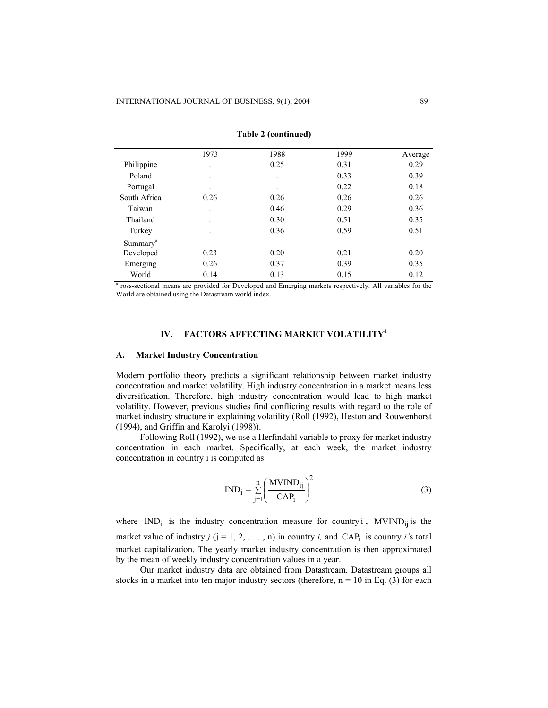|                      | 1973                     | 1988      | 1999 | Average |
|----------------------|--------------------------|-----------|------|---------|
| Philippine           | $\cdot$                  | 0.25      | 0.31 | 0.29    |
| Poland               | $\cdot$                  | $\cdot$   | 0.33 | 0.39    |
| Portugal             | $\bullet$                | $\bullet$ | 0.22 | 0.18    |
| South Africa         | 0.26                     | 0.26      | 0.26 | 0.26    |
| Taiwan               | $\ddot{\phantom{0}}$     | 0.46      | 0.29 | 0.36    |
| Thailand             | $\overline{\phantom{a}}$ | 0.30      | 0.51 | 0.35    |
| Turkey               | ٠                        | 0.36      | 0.59 | 0.51    |
| Summary <sup>a</sup> |                          |           |      |         |
| Developed            | 0.23                     | 0.20      | 0.21 | 0.20    |
| Emerging             | 0.26                     | 0.37      | 0.39 | 0.35    |
| World                | 0.14                     | 0.13      | 0.15 | 0.12    |

**Table 2 (continued)** 

<sup>a</sup> ross-sectional means are provided for Developed and Emerging markets respectively. All variables for the World are obtained using the Datastream world index.

# **IV. FACTORS AFFECTING MARKET VOLATILITY<sup>4</sup>**

#### **A. Market Industry Concentration**

Modern portfolio theory predicts a significant relationship between market industry concentration and market volatility. High industry concentration in a market means less diversification. Therefore, high industry concentration would lead to high market volatility. However, previous studies find conflicting results with regard to the role of market industry structure in explaining volatility (Roll (1992), Heston and Rouwenhorst (1994), and Griffin and Karolyi (1998)).

Following Roll (1992), we use a Herfindahl variable to proxy for market industry concentration in each market. Specifically, at each week, the market industry concentration in country i is computed as

$$
IND_{i} = \sum_{j=1}^{n} \left( \frac{MVIND_{ij}}{CAP_{i}} \right)^{2}
$$
 (3)

where  $IND_i$  is the industry concentration measure for country i, MVIND<sub>ij</sub> is the market value of industry  $j$  ( $j = 1, 2, ..., n$ ) in country  $i$ , and CAP<sub>i</sub> is country  $i$ 's total market capitalization. The yearly market industry concentration is then approximated by the mean of weekly industry concentration values in a year.

Our market industry data are obtained from Datastream. Datastream groups all stocks in a market into ten major industry sectors (therefore,  $n = 10$  in Eq. (3) for each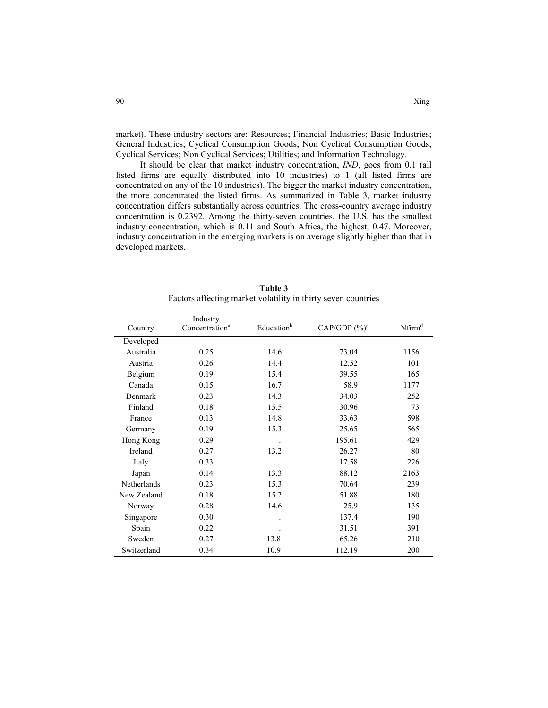market). These industry sectors are: Resources; Financial Industries; Basic Industries; General Industries; Cyclical Consumption Goods; Non Cyclical Consumption Goods; Cyclical Services; Non Cyclical Services; Utilities; and Information Technology.

It should be clear that market industry concentration, *IND*, goes from 0.1 (all listed firms are equally distributed into 10 industries) to 1 (all listed firms are concentrated on any of the 10 industries). The bigger the market industry concentration, the more concentrated the listed firms. As summarized in Table 3, market industry concentration differs substantially across countries. The cross-country average industry concentration is 0.2392. Among the thirty-seven countries, the U.S. has the smallest industry concentration, which is 0.11 and South Africa, the highest, 0.47. Moreover, industry concentration in the emerging markets is on average slightly higher than that in developed markets.

| Country     | Industry<br>Concentration <sup>a</sup> | Education <sup>b</sup> | CAP/GDP $(\%)^c$ | Nfirm <sup>d</sup> |
|-------------|----------------------------------------|------------------------|------------------|--------------------|
| Developed   |                                        |                        |                  |                    |
| Australia   | 0.25                                   | 14.6                   | 73.04            | 1156               |
| Austria     | 0.26                                   | 14.4                   | 12.52            | 101                |
| Belgium     | 0.19                                   | 15.4                   | 39.55            | 165                |
| Canada      | 0.15                                   | 16.7                   | 58.9             | 1177               |
| Denmark     | 0.23                                   | 14.3                   | 34.03            | 252                |
| Finland     | 0.18                                   | 15.5                   | 30.96            | 73                 |
| France      | 0.13                                   | 14.8                   | 33.63            | 598                |
| Germany     | 0.19                                   | 15.3                   | 25.65            | 565                |
| Hong Kong   | 0.29                                   |                        | 195.61           | 429                |
| Ireland     | 0.27                                   | 13.2                   | 26.27            | 80                 |
| Italy       | 0.33                                   |                        | 17.58            | 226                |
| Japan       | 0.14                                   | 13.3                   | 88.12            | 2163               |
| Netherlands | 0.23                                   | 15.3                   | 70.64            | 239                |
| New Zealand | 0.18                                   | 15.2                   | 51.88            | 180                |
| Norway      | 0.28                                   | 14.6                   | 25.9             | 135                |
| Singapore   | 0.30                                   |                        | 137.4            | 190                |
| Spain       | 0.22                                   |                        | 31.51            | 391                |
| Sweden      | 0.27                                   | 13.8                   | 65.26            | 210                |
| Switzerland | 0.34                                   | 10.9                   | 112.19           | 200                |

**Table 3** Factors affecting market volatility in thirty seven countries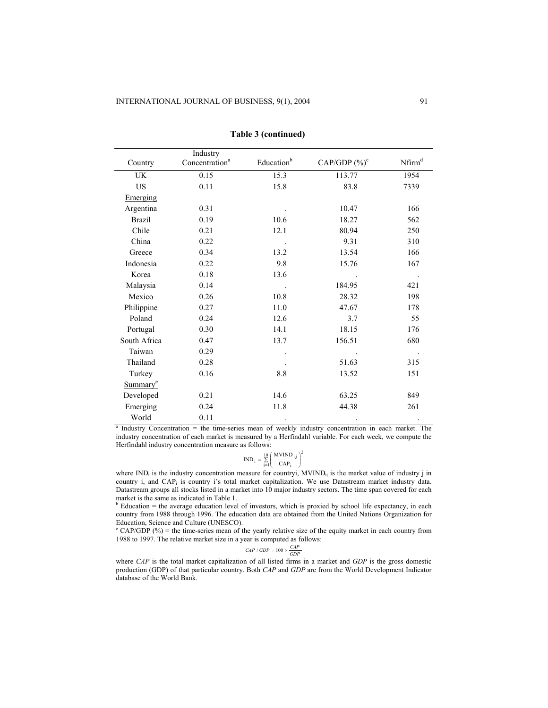|                      | Industry                   |                        |                  |                    |
|----------------------|----------------------------|------------------------|------------------|--------------------|
| Country              | Concentration <sup>a</sup> | Education <sup>b</sup> | CAP/GDP $(\%)^c$ | Nfirm <sup>d</sup> |
| UK                   | 0.15                       | 15.3                   | 113.77           | 1954               |
| <b>US</b>            | 0.11                       | 15.8                   | 83.8             | 7339               |
| Emerging             |                            |                        |                  |                    |
| Argentina            | 0.31                       |                        | 10.47            | 166                |
| <b>Brazil</b>        | 0.19                       | 10.6                   | 18.27            | 562                |
| Chile                | 0.21                       | 12.1                   | 80.94            | 250                |
| China                | 0.22                       |                        | 9.31             | 310                |
| Greece               | 0.34                       | 13.2                   | 13.54            | 166                |
| Indonesia            | 0.22                       | 9.8                    | 15.76            | 167                |
| Korea                | 0.18                       | 13.6                   |                  |                    |
| Malaysia             | 0.14                       |                        | 184.95           | 421                |
| Mexico               | 0.26                       | 10.8                   | 28.32            | 198                |
| Philippine           | 0.27                       | 11.0                   | 47.67            | 178                |
| Poland               | 0.24                       | 12.6                   | 3.7              | 55                 |
| Portugal             | 0.30                       | 14.1                   | 18.15            | 176                |
| South Africa         | 0.47                       | 13.7                   | 156.51           | 680                |
| Taiwan               | 0.29                       |                        |                  | $\blacksquare$     |
| Thailand             | 0.28                       |                        | 51.63            | 315                |
| Turkey               | 0.16                       | $8.8\,$                | 13.52            | 151                |
| Summary <sup>e</sup> |                            |                        |                  |                    |
| Developed            | 0.21                       | 14.6                   | 63.25            | 849                |
| Emerging             | 0.24                       | 11.8                   | 44.38            | 261                |
| World                | 0.11                       |                        |                  |                    |

**Table 3 (continued)** 

<sup>a</sup> Industry Concentration = the time-series mean of weekly industry concentration in each market. The industry concentration of each market is measured by a Herfindahl variable. For each week, we compute the Herfindahl industry concentration measure as follows:

$$
IND_{i} = \sum_{j=1}^{10} \left( \frac{MVIND_{ij}}{CAP_{i}} \right)^{2}
$$

where  $IND<sub>i</sub>$  is the industry concentration measure for countryi,  $MVIND<sub>i</sub>$  is the market value of industry j in country i, and CAPi is country i's total market capitalization. We use Datastream market industry data. Datastream groups all stocks listed in a market into 10 major industry sectors. The time span covered for each market is the same as indicated in Table 1. b

 $b$  Education = the average education level of investors, which is proxied by school life expectancy, in each country from 1988 through 1996. The education data are obtained from the United Nations Organization for Education, Science and Culture (UNESCO).

 $C^{\text{c}}$  CAP/GDP (%) = the time-series mean of the yearly relative size of the equity market in each country from 1988 to 1997. The relative market size in a year is computed as follows:

$$
CAP / GDP = 100 \times \frac{CAP}{GDP}
$$

where *CAP* is the total market capitalization of all listed firms in a market and *GDP* is the gross domestic production (GDP) of that particular country. Both *CAP* and *GDP* are from the World Development Indicator database of the World Bank.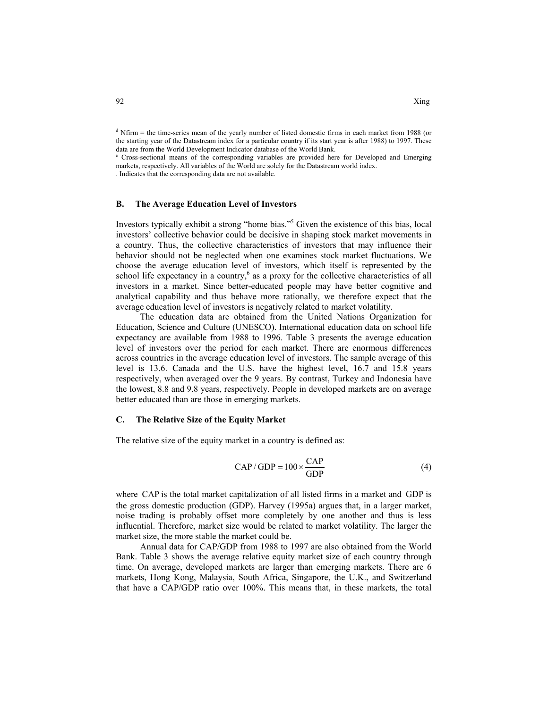<sup>d</sup> Nfirm = the time-series mean of the yearly number of listed domestic firms in each market from 1988 (or the starting year of the Datastream index for a particular country if its start year is after 1988) to 1997. These data are from the World Development Indicator database of the World Bank.

<sup>e</sup> Cross-sectional means of the corresponding variables are provided here for Developed and Emerging markets, respectively. All variables of the World are solely for the Datastream world index. . Indicates that the corresponding data are not available.

# **B. The Average Education Level of Investors**

Investors typically exhibit a strong "home bias."5 Given the existence of this bias, local investors' collective behavior could be decisive in shaping stock market movements in a country. Thus, the collective characteristics of investors that may influence their behavior should not be neglected when one examines stock market fluctuations. We choose the average education level of investors, which itself is represented by the school life expectancy in a country,<sup> $6$ </sup> as a proxy for the collective characteristics of all investors in a market. Since better-educated people may have better cognitive and analytical capability and thus behave more rationally, we therefore expect that the average education level of investors is negatively related to market volatility.

The education data are obtained from the United Nations Organization for Education, Science and Culture (UNESCO). International education data on school life expectancy are available from 1988 to 1996. Table 3 presents the average education level of investors over the period for each market. There are enormous differences across countries in the average education level of investors. The sample average of this level is 13.6. Canada and the U.S. have the highest level, 16.7 and 15.8 years respectively, when averaged over the 9 years. By contrast, Turkey and Indonesia have the lowest, 8.8 and 9.8 years, respectively. People in developed markets are on average better educated than are those in emerging markets.

#### **C. The Relative Size of the Equity Market**

The relative size of the equity market in a country is defined as:

$$
CAP/GDP = 100 \times \frac{CAP}{GDP}
$$
 (4)

where CAP is the total market capitalization of all listed firms in a market and GDP is the gross domestic production (GDP). Harvey (1995a) argues that, in a larger market, noise trading is probably offset more completely by one another and thus is less influential. Therefore, market size would be related to market volatility. The larger the market size, the more stable the market could be.

Annual data for CAP/GDP from 1988 to 1997 are also obtained from the World Bank. Table 3 shows the average relative equity market size of each country through time. On average, developed markets are larger than emerging markets. There are 6 markets, Hong Kong, Malaysia, South Africa, Singapore, the U.K., and Switzerland that have a CAP/GDP ratio over 100%. This means that, in these markets, the total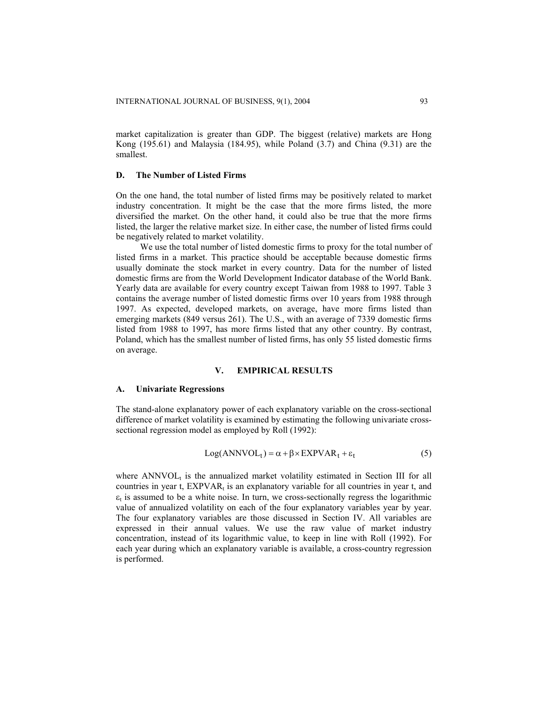market capitalization is greater than GDP. The biggest (relative) markets are Hong Kong (195.61) and Malaysia (184.95), while Poland (3.7) and China (9.31) are the smallest.

#### **D. The Number of Listed Firms**

On the one hand, the total number of listed firms may be positively related to market industry concentration. It might be the case that the more firms listed, the more diversified the market. On the other hand, it could also be true that the more firms listed, the larger the relative market size. In either case, the number of listed firms could be negatively related to market volatility.

We use the total number of listed domestic firms to proxy for the total number of listed firms in a market. This practice should be acceptable because domestic firms usually dominate the stock market in every country. Data for the number of listed domestic firms are from the World Development Indicator database of the World Bank. Yearly data are available for every country except Taiwan from 1988 to 1997. Table 3 contains the average number of listed domestic firms over 10 years from 1988 through 1997. As expected, developed markets, on average, have more firms listed than emerging markets (849 versus 261). The U.S., with an average of 7339 domestic firms listed from 1988 to 1997, has more firms listed that any other country. By contrast, Poland, which has the smallest number of listed firms, has only 55 listed domestic firms on average.

#### **V. EMPIRICAL RESULTS**

#### **A. Univariate Regressions**

The stand-alone explanatory power of each explanatory variable on the cross-sectional difference of market volatility is examined by estimating the following univariate crosssectional regression model as employed by Roll (1992):

$$
Log(ANNVOLt) = \alpha + \beta \times EXPVARt + \varepsilont
$$
 (5)

where  $\text{ANNVOL}_t$  is the annualized market volatility estimated in Section III for all countries in year t,  $EXPVAR<sub>t</sub>$  is an explanatory variable for all countries in year t, and  $\varepsilon_t$  is assumed to be a white noise. In turn, we cross-sectionally regress the logarithmic value of annualized volatility on each of the four explanatory variables year by year. The four explanatory variables are those discussed in Section IV. All variables are expressed in their annual values. We use the raw value of market industry concentration, instead of its logarithmic value, to keep in line with Roll (1992). For each year during which an explanatory variable is available, a cross-country regression is performed.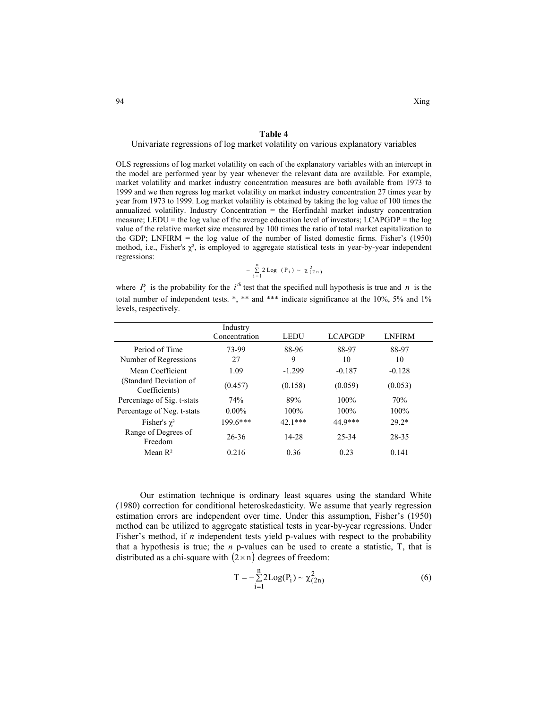# **Table 4**

Univariate regressions of log market volatility on various explanatory variables

OLS regressions of log market volatility on each of the explanatory variables with an intercept in the model are performed year by year whenever the relevant data are available. For example, market volatility and market industry concentration measures are both available from 1973 to 1999 and we then regress log market volatility on market industry concentration 27 times year by year from 1973 to 1999. Log market volatility is obtained by taking the log value of 100 times the annualized volatility. Industry Concentration = the Herfindahl market industry concentration measure; LEDU = the log value of the average education level of investors; LCAPGDP = the log value of the relative market size measured by 100 times the ratio of total market capitalization to the GDP; LNFIRM  $=$  the log value of the number of listed domestic firms. Fisher's (1950) method, i.e., Fisher's  $\chi^2$ , is employed to aggregate statistical tests in year-by-year independent regressions:

$$
- \sum_{i=1}^{n} 2 \text{ Log } (P_i) \sim \chi^2_{(2\,n)}
$$

where  $P_i$  is the probability for the  $i^{th}$  test that the specified null hypothesis is true and *n* is the total number of independent tests. \*, \*\* and \*\*\* indicate significance at the 10%, 5% and 1% levels, respectively.

|                                         | Industry<br>Concentration | <b>LEDU</b> | <b>LCAPGDP</b> | <b>LNFIRM</b> |
|-----------------------------------------|---------------------------|-------------|----------------|---------------|
| Period of Time                          | 73-99                     | 88-96       | 88-97          | 88-97         |
| Number of Regressions                   | 27                        | 9           | 10             | 10            |
| Mean Coefficient                        | 1.09                      | $-1.299$    | $-0.187$       | $-0.128$      |
| (Standard Deviation of<br>Coefficients) | (0.457)                   | (0.158)     | (0.059)        | (0.053)       |
| Percentage of Sig. t-stats              | 74%                       | 89%         | 100%           | 70%           |
| Percentage of Neg. t-stats              | $0.00\%$                  | $100\%$     | 100%           | $100\%$       |
| Fisher's $\chi^2$                       | $1996$ ***                | $42.1***$   | 44 9***        | $29.2*$       |
| Range of Degrees of<br>Freedom          | 26-36                     | 14-28       | 25-34          | 28-35         |
| Mean $\mathbb{R}^2$                     | 0.216                     | 0.36        | 0.23           | 0.141         |

Our estimation technique is ordinary least squares using the standard White (1980) correction for conditional heteroskedasticity. We assume that yearly regression estimation errors are independent over time. Under this assumption, Fisher's (1950) method can be utilized to aggregate statistical tests in year-by-year regressions. Under Fisher's method, if *n* independent tests yield p-values with respect to the probability that a hypothesis is true; the  $n$  p-values can be used to create a statistic,  $T$ , that is distributed as a chi-square with  $(2 \times n)$  degrees of freedom:

$$
T = -\sum_{i=1}^{n} 2Log(P_i) \sim \chi^{2}_{(2n)}
$$
 (6)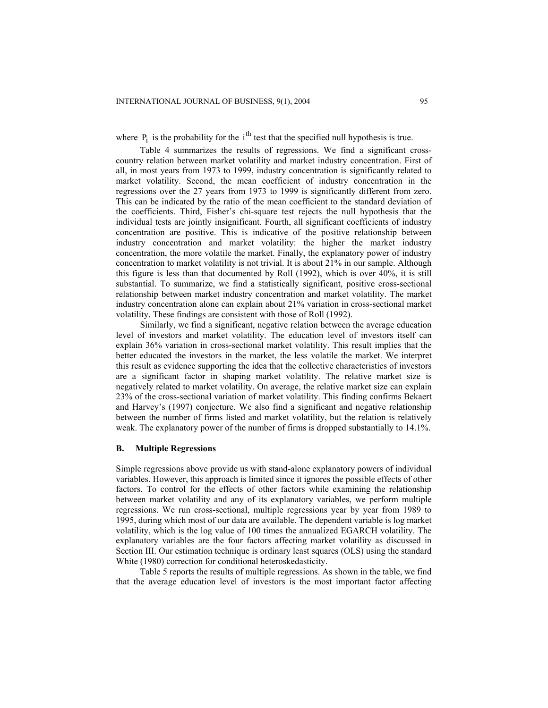where  $P_i$  is the probability for the i<sup>th</sup> test that the specified null hypothesis is true.

Table 4 summarizes the results of regressions. We find a significant crosscountry relation between market volatility and market industry concentration. First of all, in most years from 1973 to 1999, industry concentration is significantly related to market volatility. Second, the mean coefficient of industry concentration in the regressions over the 27 years from 1973 to 1999 is significantly different from zero. This can be indicated by the ratio of the mean coefficient to the standard deviation of the coefficients. Third, Fisher's chi-square test rejects the null hypothesis that the individual tests are jointly insignificant. Fourth, all significant coefficients of industry concentration are positive. This is indicative of the positive relationship between industry concentration and market volatility: the higher the market industry concentration, the more volatile the market. Finally, the explanatory power of industry concentration to market volatility is not trivial. It is about 21% in our sample. Although this figure is less than that documented by Roll (1992), which is over 40%, it is still substantial. To summarize, we find a statistically significant, positive cross-sectional relationship between market industry concentration and market volatility. The market industry concentration alone can explain about 21% variation in cross-sectional market volatility. These findings are consistent with those of Roll (1992).

Similarly, we find a significant, negative relation between the average education level of investors and market volatility. The education level of investors itself can explain 36% variation in cross-sectional market volatility. This result implies that the better educated the investors in the market, the less volatile the market. We interpret this result as evidence supporting the idea that the collective characteristics of investors are a significant factor in shaping market volatility. The relative market size is negatively related to market volatility. On average, the relative market size can explain 23% of the cross-sectional variation of market volatility. This finding confirms Bekaert and Harvey's (1997) conjecture. We also find a significant and negative relationship between the number of firms listed and market volatility, but the relation is relatively weak. The explanatory power of the number of firms is dropped substantially to 14.1%.

#### **B. Multiple Regressions**

Simple regressions above provide us with stand-alone explanatory powers of individual variables. However, this approach is limited since it ignores the possible effects of other factors. To control for the effects of other factors while examining the relationship between market volatility and any of its explanatory variables, we perform multiple regressions. We run cross-sectional, multiple regressions year by year from 1989 to 1995, during which most of our data are available. The dependent variable is log market volatility, which is the log value of 100 times the annualized EGARCH volatility. The explanatory variables are the four factors affecting market volatility as discussed in Section III. Our estimation technique is ordinary least squares (OLS) using the standard White (1980) correction for conditional heteroskedasticity.

Table 5 reports the results of multiple regressions. As shown in the table, we find that the average education level of investors is the most important factor affecting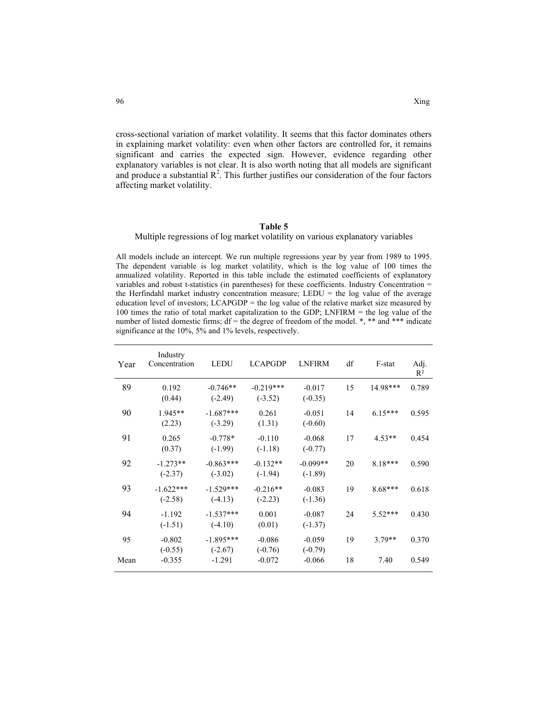cross-sectional variation of market volatility. It seems that this factor dominates others in explaining market volatility: even when other factors are controlled for, it remains significant and carries the expected sign. However, evidence regarding other explanatory variables is not clear. It is also worth noting that all models are significant and produce a substantial  $\mathbb{R}^2$ . This further justifies our consideration of the four factors affecting market volatility.

#### **Table 5**

#### Multiple regressions of log market volatility on various explanatory variables

All models include an intercept. We run multiple regressions year by year from 1989 to 1995. The dependent variable is log market volatility, which is the log value of 100 times the annualized volatility. Reported in this table include the estimated coefficients of explanatory variables and robust t-statistics (in parentheses) for these coefficients. Industry Concentration = the Herfindahl market industry concentration measure; LEDU = the log value of the average education level of investors; LCAPGDP = the log value of the relative market size measured by 100 times the ratio of total market capitalization to the GDP; LNFIRM = the log value of the number of listed domestic firms;  $df =$  the degree of freedom of the model.  $\ast$ ,  $\ast\ast$  and  $\ast\ast\ast$  indicate significance at the 10%, 5% and 1% levels, respectively.

| Year | Industry<br>Concentration | <b>LEDU</b>              | <b>LCAPGDP</b>           | <b>LNFIRM</b>           | df | F-stat    | Adj.<br>$R^2$ |
|------|---------------------------|--------------------------|--------------------------|-------------------------|----|-----------|---------------|
| 89   | 0.192<br>(0.44)           | $-0.746**$<br>$(-2.49)$  | $-0.219***$<br>$(-3.52)$ | $-0.017$<br>$(-0.35)$   | 15 | 14.98***  | 0.789         |
| 90   | 1.945**<br>(2.23)         | $-1.687***$<br>$(-3.29)$ | 0.261<br>(1.31)          | $-0.051$<br>$(-0.60)$   | 14 | $6.15***$ | 0.595         |
| 91   | 0.265<br>(0.37)           | $-0.778*$<br>$(-1.99)$   | $-0.110$<br>$(-1.18)$    | $-0.068$<br>$(-0.77)$   | 17 | $4.53**$  | 0.454         |
| 92   | $-1.273**$<br>$(-2.37)$   | $-0.863***$<br>$(-3.02)$ | $-0.132**$<br>$(-1.94)$  | $-0.099**$<br>$(-1.89)$ | 20 | $8.18***$ | 0.590         |
| 93   | $-1.622***$<br>$(-2.58)$  | $-1.529***$<br>$(-4.13)$ | $-0.216**$<br>$(-2.23)$  | $-0.083$<br>$(-1.36)$   | 19 | 8.68***   | 0.618         |
| 94   | $-1.192$<br>$(-1.51)$     | $-1.537***$<br>$(-4.10)$ | 0.001<br>(0.01)          | $-0.087$<br>$(-1.37)$   | 24 | $5.52***$ | 0.430         |
| 95   | $-0.802$<br>$(-0.55)$     | $-1.895***$<br>$(-2.67)$ | $-0.086$<br>$(-0.76)$    | $-0.059$<br>$(-0.79)$   | 19 | $3.79**$  | 0.370         |
| Mean | $-0.355$                  | $-1.291$                 | $-0.072$                 | $-0.066$                | 18 | 7.40      | 0.549         |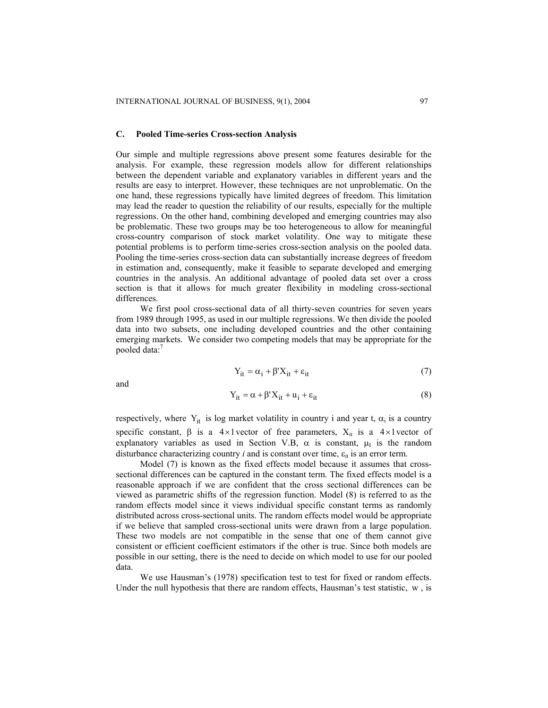#### **C. Pooled Time-series Cross-section Analysis**

Our simple and multiple regressions above present some features desirable for the analysis. For example, these regression models allow for different relationships between the dependent variable and explanatory variables in different years and the results are easy to interpret. However, these techniques are not unproblematic. On the one hand, these regressions typically have limited degrees of freedom. This limitation may lead the reader to question the reliability of our results, especially for the multiple regressions. On the other hand, combining developed and emerging countries may also be problematic. These two groups may be too heterogeneous to allow for meaningful cross-country comparison of stock market volatility. One way to mitigate these potential problems is to perform time-series cross-section analysis on the pooled data. Pooling the time-series cross-section data can substantially increase degrees of freedom in estimation and, consequently, make it feasible to separate developed and emerging countries in the analysis. An additional advantage of pooled data set over a cross section is that it allows for much greater flexibility in modeling cross-sectional differences.

We first pool cross-sectional data of all thirty-seven countries for seven years from 1989 through 1995, as used in our multiple regressions. We then divide the pooled data into two subsets, one including developed countries and the other containing emerging markets. We consider two competing models that may be appropriate for the pooled data: 7

$$
Y_{it} = \alpha_i + \beta' X_{it} + \varepsilon_{it}
$$
 (7)

and

$$
Y_{it} = \alpha + \beta' X_{it} + u_i + \varepsilon_{it}
$$
 (8)

respectively, where  $Y_{it}$  is log market volatility in country i and year t,  $\alpha_i$  is a country specific constant,  $\beta$  is a 4×1 vector of free parameters,  $X_{it}$  is a 4×1 vector of explanatory variables as used in Section V.B,  $\alpha$  is constant,  $\mu_I$  is the random disturbance characterizing country  $i$  and is constant over time,  $\varepsilon_{it}$  is an error term.

Model (7) is known as the fixed effects model because it assumes that crosssectional differences can be captured in the constant term. The fixed effects model is a reasonable approach if we are confident that the cross sectional differences can be viewed as parametric shifts of the regression function. Model (8) is referred to as the random effects model since it views individual specific constant terms as randomly distributed across cross-sectional units. The random effects model would be appropriate if we believe that sampled cross-sectional units were drawn from a large population. These two models are not compatible in the sense that one of them cannot give consistent or efficient coefficient estimators if the other is true. Since both models are possible in our setting, there is the need to decide on which model to use for our pooled data.

We use Hausman's (1978) specification test to test for fixed or random effects. Under the null hypothesis that there are random effects, Hausman's test statistic, w , is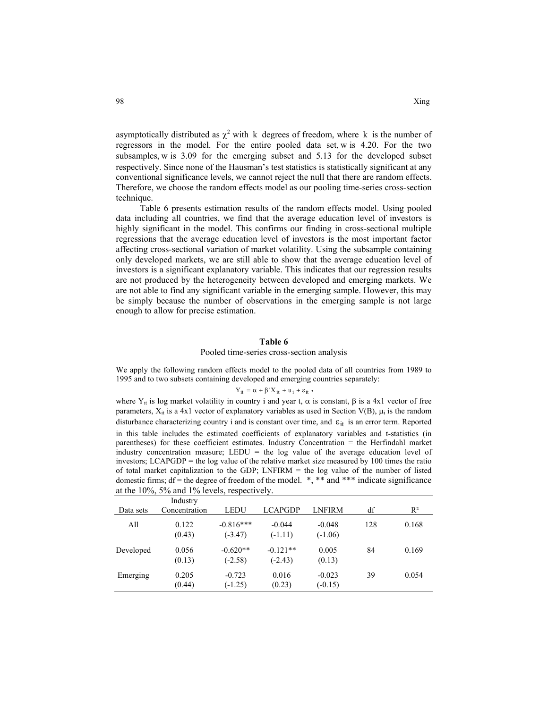asymptotically distributed as  $\chi^2$  with k degrees of freedom, where k is the number of regressors in the model. For the entire pooled data set, w is 4.20. For the two subsamples, w is  $3.09$  for the emerging subset and  $5.13$  for the developed subset respectively. Since none of the Hausman's test statistics is statistically significant at any conventional significance levels, we cannot reject the null that there are random effects. Therefore, we choose the random effects model as our pooling time-series cross-section technique.

Table 6 presents estimation results of the random effects model. Using pooled data including all countries, we find that the average education level of investors is highly significant in the model. This confirms our finding in cross-sectional multiple regressions that the average education level of investors is the most important factor affecting cross-sectional variation of market volatility. Using the subsample containing only developed markets, we are still able to show that the average education level of investors is a significant explanatory variable. This indicates that our regression results are not produced by the heterogeneity between developed and emerging markets. We are not able to find any significant variable in the emerging sample. However, this may be simply because the number of observations in the emerging sample is not large enough to allow for precise estimation.

#### **Table 6**

#### Pooled time-series cross-section analysis

We apply the following random effects model to the pooled data of all countries from 1989 to 1995 and to two subsets containing developed and emerging countries separately:

# $Y_{it} = \alpha + \beta' X_{it} + u_i + \varepsilon_{it}$ ,

disturbance characterizing country i and is constant over time, and  $\varepsilon_{it}$  is an error term. Reported where Y<sub>it</sub> is log market volatility in country i and year t,  $\alpha$  is constant,  $\beta$  is a 4x1 vector of free parameters,  $X_{it}$  is a 4x1 vector of explanatory variables as used in Section V(B),  $\mu_i$  is the random in this table includes the estimated coefficients of explanatory variables and t-statistics (in parentheses) for these coefficient estimates. Industry Concentration = the Herfindahl market industry concentration measure; LEDU  $=$  the log value of the average education level of investors; LCAPGDP = the log value of the relative market size measured by 100 times the ratio of total market capitalization to the GDP; LNFIRM = the log value of the number of listed domestic firms;  $df =$  the degree of freedom of the model. \*, \*\* and \*\*\* indicate significance

| Data sets | Industry<br>Concentration | <b>LEDU</b>              | <b>LCAPGDP</b>          | <b>LNFIRM</b>         | df  | $R^2$ |
|-----------|---------------------------|--------------------------|-------------------------|-----------------------|-----|-------|
| A11       | 0.122<br>(0.43)           | $-0.816***$<br>$(-3.47)$ | $-0.044$<br>$(-1.11)$   | $-0.048$<br>$(-1.06)$ | 128 | 0.168 |
| Developed | 0.056<br>(0.13)           | $-0.620**$<br>$(-2.58)$  | $-0.121**$<br>$(-2.43)$ | 0.005<br>(0.13)       | 84  | 0.169 |
| Emerging  | 0.205<br>(0.44)           | $-0.723$<br>$(-1.25)$    | 0.016<br>(0.23)         | $-0.023$<br>$(-0.15)$ | 39  | 0.054 |

at the 10%, 5% and 1% levels, respectively.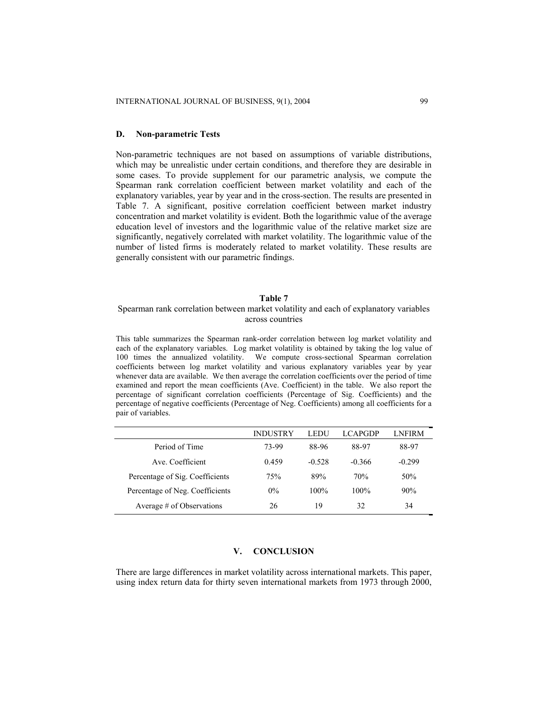#### **D. Non-parametric Tests**

Non-parametric techniques are not based on assumptions of variable distributions, which may be unrealistic under certain conditions, and therefore they are desirable in some cases. To provide supplement for our parametric analysis, we compute the Spearman rank correlation coefficient between market volatility and each of the explanatory variables, year by year and in the cross-section. The results are presented in Table 7. A significant, positive correlation coefficient between market industry concentration and market volatility is evident. Both the logarithmic value of the average education level of investors and the logarithmic value of the relative market size are significantly, negatively correlated with market volatility. The logarithmic value of the number of listed firms is moderately related to market volatility. These results are generally consistent with our parametric findings.

### **Table 7**

# Spearman rank correlation between market volatility and each of explanatory variables across countries

This table summarizes the Spearman rank-order correlation between log market volatility and each of the explanatory variables. Log market volatility is obtained by taking the log value of 100 times the annualized volatility. We compute cross-sectional Spearman correlation coefficients between log market volatility and various explanatory variables year by year whenever data are available. We then average the correlation coefficients over the period of time examined and report the mean coefficients (Ave. Coefficient) in the table. We also report the percentage of significant correlation coefficients (Percentage of Sig. Coefficients) and the percentage of negative coefficients (Percentage of Neg. Coefficients) among all coefficients for a pair of variables.

|                                 | <b>INDUSTRY</b> | LEDU     | <b>LCAPGDP</b> | LNFIRM          |
|---------------------------------|-----------------|----------|----------------|-----------------|
| Period of Time                  | 73-99           | 88-96    | 88-97          | 88-97           |
| Ave Coefficient                 | 0.459           | $-0.528$ | $-0.366$       | $-0.299$        |
| Percentage of Sig. Coefficients | 75%             | 89%      | 70%            | 50 <sub>%</sub> |
| Percentage of Neg. Coefficients | $0\%$           | $100\%$  | 100%           | 90%             |
| Average # of Observations       | 26              | 19       | 32             | 34              |

# **V. CONCLUSION**

There are large differences in market volatility across international markets. This paper, using index return data for thirty seven international markets from 1973 through 2000,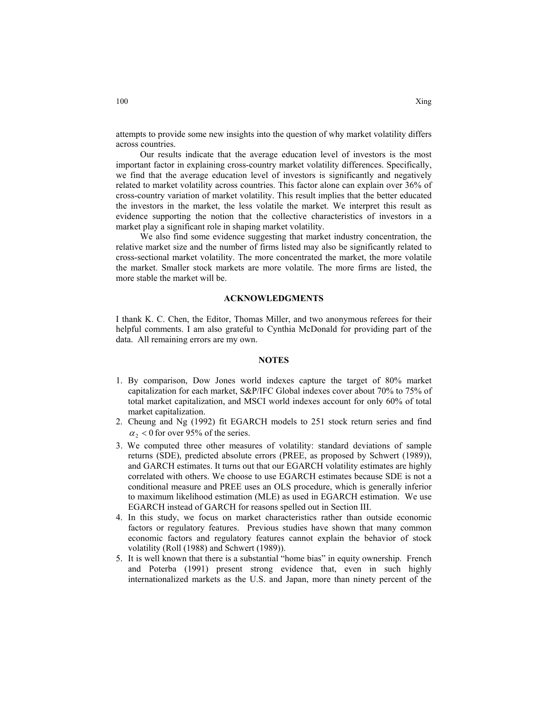attempts to provide some new insights into the question of why market volatility differs across countries.

Our results indicate that the average education level of investors is the most important factor in explaining cross-country market volatility differences. Specifically, we find that the average education level of investors is significantly and negatively related to market volatility across countries. This factor alone can explain over 36% of cross-country variation of market volatility. This result implies that the better educated the investors in the market, the less volatile the market. We interpret this result as evidence supporting the notion that the collective characteristics of investors in a market play a significant role in shaping market volatility.

We also find some evidence suggesting that market industry concentration, the relative market size and the number of firms listed may also be significantly related to cross-sectional market volatility. The more concentrated the market, the more volatile the market. Smaller stock markets are more volatile. The more firms are listed, the more stable the market will be.

#### **ACKNOWLEDGMENTS**

I thank K. C. Chen, the Editor, Thomas Miller, and two anonymous referees for their helpful comments. I am also grateful to Cynthia McDonald for providing part of the data. All remaining errors are my own.

#### **NOTES**

- 1. By comparison, Dow Jones world indexes capture the target of 80% market capitalization for each market, S&P/IFC Global indexes cover about 70% to 75% of total market capitalization, and MSCI world indexes account for only 60% of total market capitalization.
- 2. Cheung and Ng (1992) fit EGARCH models to 251 stock return series and find  $\alpha$ , < 0 for over 95% of the series.
- 3. We computed three other measures of volatility: standard deviations of sample returns (SDE), predicted absolute errors (PREE, as proposed by Schwert (1989)), and GARCH estimates. It turns out that our EGARCH volatility estimates are highly correlated with others. We choose to use EGARCH estimates because SDE is not a conditional measure and PREE uses an OLS procedure, which is generally inferior to maximum likelihood estimation (MLE) as used in EGARCH estimation. We use EGARCH instead of GARCH for reasons spelled out in Section III.
- 4. In this study, we focus on market characteristics rather than outside economic factors or regulatory features. Previous studies have shown that many common economic factors and regulatory features cannot explain the behavior of stock volatility (Roll (1988) and Schwert (1989)).
- 5. It is well known that there is a substantial "home bias" in equity ownership. French and Poterba (1991) present strong evidence that, even in such highly internationalized markets as the U.S. and Japan, more than ninety percent of the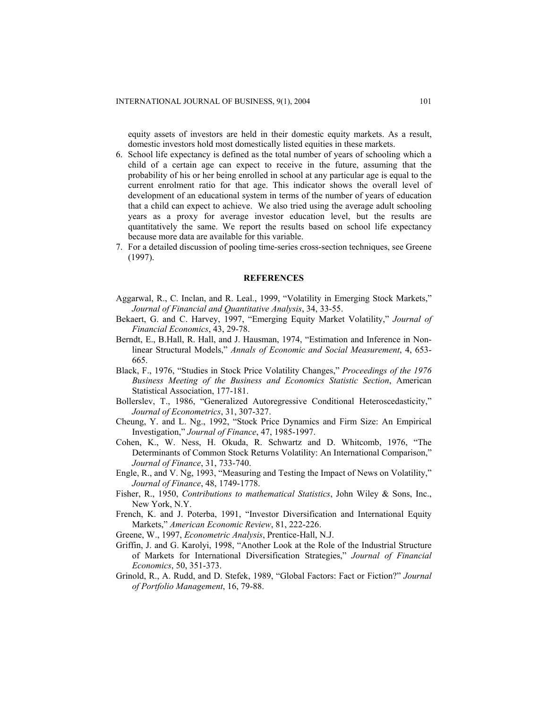equity assets of investors are held in their domestic equity markets. As a result, domestic investors hold most domestically listed equities in these markets.

- 6. School life expectancy is defined as the total number of years of schooling which a child of a certain age can expect to receive in the future, assuming that the probability of his or her being enrolled in school at any particular age is equal to the current enrolment ratio for that age. This indicator shows the overall level of development of an educational system in terms of the number of years of education that a child can expect to achieve. We also tried using the average adult schooling years as a proxy for average investor education level, but the results are quantitatively the same. We report the results based on school life expectancy because more data are available for this variable.
- 7. For a detailed discussion of pooling time-series cross-section techniques, see Greene (1997).

#### **REFERENCES**

- Aggarwal, R., C. Inclan, and R. Leal., 1999, "Volatility in Emerging Stock Markets," *Journal of Financial and Quantitative Analysis*, 34, 33-55.
- Bekaert, G. and C. Harvey, 1997, "Emerging Equity Market Volatility," *Journal of Financial Economics*, 43, 29-78.
- Berndt, E., B.Hall, R. Hall, and J. Hausman, 1974, "Estimation and Inference in Nonlinear Structural Models," *Annals of Economic and Social Measurement*, 4, 653- 665.
- Black, F., 1976, "Studies in Stock Price Volatility Changes," *Proceedings of the 1976 Business Meeting of the Business and Economics Statistic Section*, American Statistical Association, 177-181.
- Bollerslev, T., 1986, "Generalized Autoregressive Conditional Heteroscedasticity," *Journal of Econometrics*, 31, 307-327.
- Cheung, Y. and L. Ng., 1992, "Stock Price Dynamics and Firm Size: An Empirical Investigation," *Journal of Finance*, 47, 1985-1997.
- Cohen, K., W. Ness, H. Okuda, R. Schwartz and D. Whitcomb, 1976, "The Determinants of Common Stock Returns Volatility: An International Comparison," *Journal of Finance*, 31, 733-740.
- Engle, R., and V. Ng, 1993, "Measuring and Testing the Impact of News on Volatility," *Journal of Finance*, 48, 1749-1778.
- Fisher, R., 1950, *Contributions to mathematical Statistics*, John Wiley & Sons, Inc., New York, N.Y.
- French, K. and J. Poterba, 1991, "Investor Diversification and International Equity Markets," *American Economic Review*, 81, 222-226.
- Greene, W., 1997, *Econometric Analysis*, Prentice-Hall, N.J.
- Griffin, J. and G. Karolyi, 1998, "Another Look at the Role of the Industrial Structure of Markets for International Diversification Strategies," *Journal of Financial Economics*, 50, 351-373.
- Grinold, R., A. Rudd, and D. Stefek, 1989, "Global Factors: Fact or Fiction?" *Journal of Portfolio Management*, 16, 79-88.